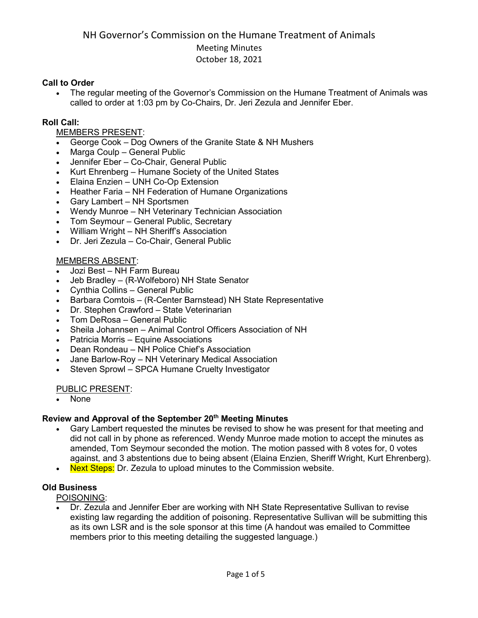### **Call to Order**

• The regular meeting of the Governor's Commission on the Humane Treatment of Animals was called to order at 1:03 pm by Co-Chairs, Dr. Jeri Zezula and Jennifer Eber.

### **Roll Call:**

# MEMBERS PRESENT:

- George Cook Dog Owners of the Granite State & NH Mushers
- Marga Coulp General Public
- Jennifer Eber Co-Chair, General Public
- Kurt Ehrenberg Humane Society of the United States
- Elaina Enzien UNH Co-Op Extension
- Heather Faria NH Federation of Humane Organizations
- Gary Lambert NH Sportsmen
- Wendy Munroe NH Veterinary Technician Association
- Tom Seymour General Public, Secretary
- William Wright NH Sheriff's Association
- Dr. Jeri Zezula Co-Chair, General Public

# MEMBERS ABSENT:

- Jozi Best NH Farm Bureau
- Jeb Bradley (R-Wolfeboro) NH State Senator
- Cynthia Collins General Public
- Barbara Comtois (R-Center Barnstead) NH State Representative
- Dr. Stephen Crawford State Veterinarian
- Tom DeRosa General Public
- Sheila Johannsen Animal Control Officers Association of NH
- Patricia Morris Equine Associations
- Dean Rondeau NH Police Chief's Association
- Jane Barlow-Roy NH Veterinary Medical Association
- Steven Sprowl SPCA Humane Cruelty Investigator

### PUBLIC PRESENT:

• None

### **Review and Approval of the September 20th Meeting Minutes**

- Gary Lambert requested the minutes be revised to show he was present for that meeting and did not call in by phone as referenced. Wendy Munroe made motion to accept the minutes as amended, Tom Seymour seconded the motion. The motion passed with 8 votes for, 0 votes against, and 3 abstentions due to being absent (Elaina Enzien, Sheriff Wright, Kurt Ehrenberg).
- Next Steps: Dr. Zezula to upload minutes to the Commission website.

### **Old Business**

POISONING:

• Dr. Zezula and Jennifer Eber are working with NH State Representative Sullivan to revise existing law regarding the addition of poisoning. Representative Sullivan will be submitting this as its own LSR and is the sole sponsor at this time (A handout was emailed to Committee members prior to this meeting detailing the suggested language.)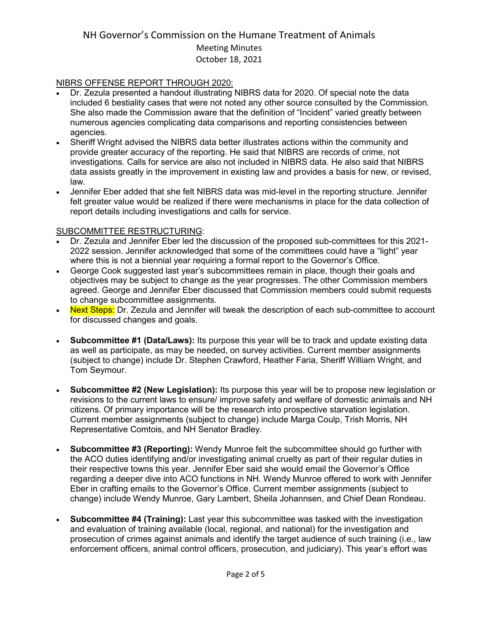### NIBRS OFFENSE REPORT THROUGH 2020:

- Dr. Zezula presented a handout illustrating NIBRS data for 2020. Of special note the data included 6 bestiality cases that were not noted any other source consulted by the Commission. She also made the Commission aware that the definition of "Incident" varied greatly between numerous agencies complicating data comparisons and reporting consistencies between agencies.
- Sheriff Wright advised the NIBRS data better illustrates actions within the community and provide greater accuracy of the reporting. He said that NIBRS are records of crime, not investigations. Calls for service are also not included in NIBRS data. He also said that NIBRS data assists greatly in the improvement in existing law and provides a basis for new, or revised, law.
- Jennifer Eber added that she felt NIBRS data was mid-level in the reporting structure. Jennifer felt greater value would be realized if there were mechanisms in place for the data collection of report details including investigations and calls for service.

### SUBCOMMITTEE RESTRUCTURING:

- Dr. Zezula and Jennifer Eber led the discussion of the proposed sub-committees for this 2021- 2022 session. Jennifer acknowledged that some of the committees could have a "light" year where this is not a biennial year requiring a formal report to the Governor's Office.
- George Cook suggested last year's subcommittees remain in place, though their goals and objectives may be subject to change as the year progresses. The other Commission members agreed. George and Jennifer Eber discussed that Commission members could submit requests to change subcommittee assignments.
- Next Steps: Dr. Zezula and Jennifer will tweak the description of each sub-committee to account for discussed changes and goals.
- **Subcommittee #1 (Data/Laws):** Its purpose this year will be to track and update existing data as well as participate, as may be needed, on survey activities. Current member assignments (subject to change) include Dr. Stephen Crawford, Heather Faria, Sheriff William Wright, and Tom Seymour.
- **Subcommittee #2 (New Legislation):** Its purpose this year will be to propose new legislation or revisions to the current laws to ensure/ improve safety and welfare of domestic animals and NH citizens. Of primary importance will be the research into prospective starvation legislation. Current member assignments (subject to change) include Marga Coulp, Trish Morris, NH Representative Comtois, and NH Senator Bradley.
- **Subcommittee #3 (Reporting):** Wendy Munroe felt the subcommittee should go further with the ACO duties identifying and/or investigating animal cruelty as part of their regular duties in their respective towns this year. Jennifer Eber said she would email the Governor's Office regarding a deeper dive into ACO functions in NH. Wendy Munroe offered to work with Jennifer Eber in crafting emails to the Governor's Office. Current member assignments (subject to change) include Wendy Munroe, Gary Lambert, Sheila Johannsen, and Chief Dean Rondeau.
- **Subcommittee #4 (Training):** Last year this subcommittee was tasked with the investigation and evaluation of training available (local, regional, and national) for the investigation and prosecution of crimes against animals and identify the target audience of such training (i.e., law enforcement officers, animal control officers, prosecution, and judiciary). This year's effort was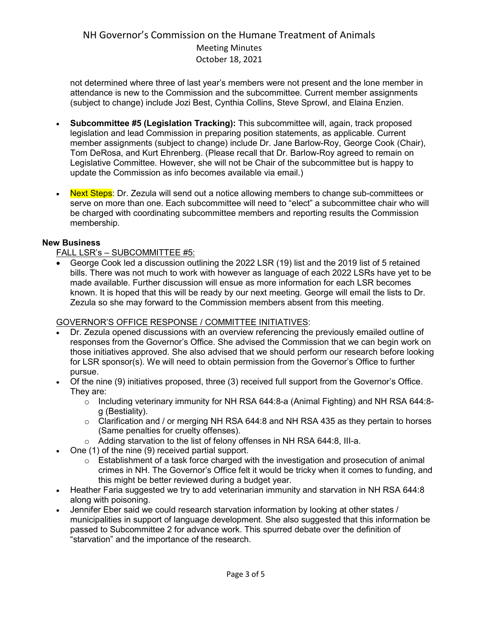not determined where three of last year's members were not present and the lone member in attendance is new to the Commission and the subcommittee. Current member assignments (subject to change) include Jozi Best, Cynthia Collins, Steve Sprowl, and Elaina Enzien.

- **Subcommittee #5 (Legislation Tracking):** This subcommittee will, again, track proposed legislation and lead Commission in preparing position statements, as applicable. Current member assignments (subject to change) include Dr. Jane Barlow-Roy, George Cook (Chair), Tom DeRosa, and Kurt Ehrenberg. (Please recall that Dr. Barlow-Roy agreed to remain on Legislative Committee. However, she will not be Chair of the subcommittee but is happy to update the Commission as info becomes available via email.)
- Next Steps: Dr. Zezula will send out a notice allowing members to change sub-committees or serve on more than one. Each subcommittee will need to "elect" a subcommittee chair who will be charged with coordinating subcommittee members and reporting results the Commission membership.

# **New Business**

FALL LSR's – SUBCOMMITTEE #5:

• George Cook led a discussion outlining the 2022 LSR (19) list and the 2019 list of 5 retained bills. There was not much to work with however as language of each 2022 LSRs have yet to be made available. Further discussion will ensue as more information for each LSR becomes known. It is hoped that this will be ready by our next meeting. George will email the lists to Dr. Zezula so she may forward to the Commission members absent from this meeting.

# GOVERNOR'S OFFICE RESPONSE / COMMITTEE INITIATIVES:

- Dr. Zezula opened discussions with an overview referencing the previously emailed outline of responses from the Governor's Office. She advised the Commission that we can begin work on those initiatives approved. She also advised that we should perform our research before looking for LSR sponsor(s). We will need to obtain permission from the Governor's Office to further pursue.
- Of the nine (9) initiatives proposed, three (3) received full support from the Governor's Office. They are:
	- o Including veterinary immunity for NH RSA 644:8-a (Animal Fighting) and NH RSA 644:8 g (Bestiality).
	- o Clarification and / or merging NH RSA 644:8 and NH RSA 435 as they pertain to horses (Same penalties for cruelty offenses).
	- o Adding starvation to the list of felony offenses in NH RSA 644:8, III-a.
- One (1) of the nine (9) received partial support.
	- $\circ$  Establishment of a task force charged with the investigation and prosecution of animal crimes in NH. The Governor's Office felt it would be tricky when it comes to funding, and this might be better reviewed during a budget year.
- Heather Faria suggested we try to add veterinarian immunity and starvation in NH RSA 644:8 along with poisoning.
- Jennifer Eber said we could research starvation information by looking at other states / municipalities in support of language development. She also suggested that this information be passed to Subcommittee 2 for advance work. This spurred debate over the definition of "starvation" and the importance of the research.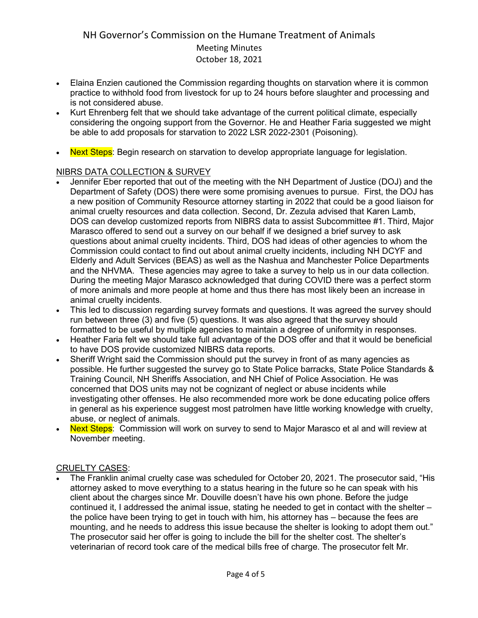- Elaina Enzien cautioned the Commission regarding thoughts on starvation where it is common practice to withhold food from livestock for up to 24 hours before slaughter and processing and is not considered abuse.
- Kurt Ehrenberg felt that we should take advantage of the current political climate, especially considering the ongoing support from the Governor. He and Heather Faria suggested we might be able to add proposals for starvation to 2022 LSR 2022-2301 (Poisoning).
- Next Steps: Begin research on starvation to develop appropriate language for legislation.

# NIBRS DATA COLLECTION & SURVEY

- Jennifer Eber reported that out of the meeting with the NH Department of Justice (DOJ) and the Department of Safety (DOS) there were some promising avenues to pursue. First, the DOJ has a new position of Community Resource attorney starting in 2022 that could be a good liaison for animal cruelty resources and data collection. Second, Dr. Zezula advised that Karen Lamb, DOS can develop customized reports from NIBRS data to assist Subcommittee #1. Third, Major Marasco offered to send out a survey on our behalf if we designed a brief survey to ask questions about animal cruelty incidents. Third, DOS had ideas of other agencies to whom the Commission could contact to find out about animal cruelty incidents, including NH DCYF and Elderly and Adult Services (BEAS) as well as the Nashua and Manchester Police Departments and the NHVMA. These agencies may agree to take a survey to help us in our data collection. During the meeting Major Marasco acknowledged that during COVID there was a perfect storm of more animals and more people at home and thus there has most likely been an increase in animal cruelty incidents.
- This led to discussion regarding survey formats and questions. It was agreed the survey should run between three (3) and five (5) questions. It was also agreed that the survey should formatted to be useful by multiple agencies to maintain a degree of uniformity in responses.
- Heather Faria felt we should take full advantage of the DOS offer and that it would be beneficial to have DOS provide customized NIBRS data reports.
- Sheriff Wright said the Commission should put the survey in front of as many agencies as possible. He further suggested the survey go to State Police barracks, State Police Standards & Training Council, NH Sheriffs Association, and NH Chief of Police Association. He was concerned that DOS units may not be cognizant of neglect or abuse incidents while investigating other offenses. He also recommended more work be done educating police offers in general as his experience suggest most patrolmen have little working knowledge with cruelty, abuse, or neglect of animals.
- **Next Steps**: Commission will work on survey to send to Major Marasco et al and will review at November meeting.

### CRUELTY CASES:

• The Franklin animal cruelty case was scheduled for October 20, 2021. The prosecutor said, "His attorney asked to move everything to a status hearing in the future so he can speak with his client about the charges since Mr. Douville doesn't have his own phone. Before the judge continued it, I addressed the animal issue, stating he needed to get in contact with the shelter – the police have been trying to get in touch with him, his attorney has – because the fees are mounting, and he needs to address this issue because the shelter is looking to adopt them out." The prosecutor said her offer is going to include the bill for the shelter cost. The shelter's veterinarian of record took care of the medical bills free of charge. The prosecutor felt Mr.